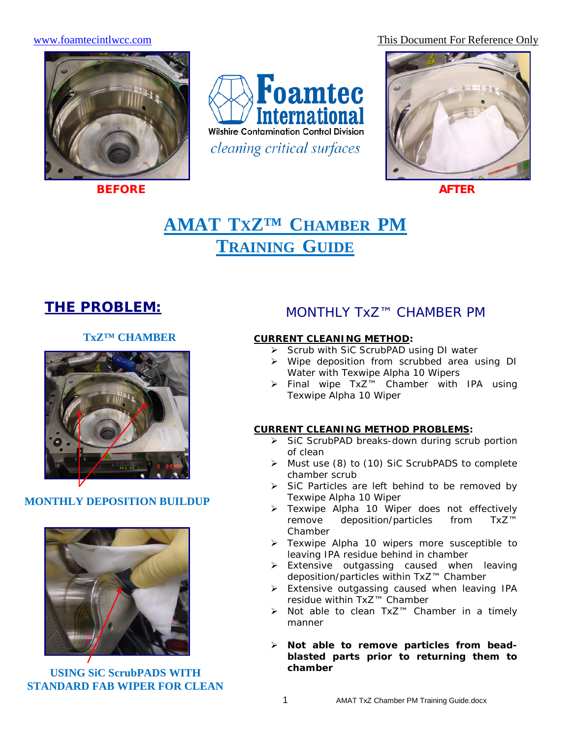[www.foamtecintlwcc.com](http://www.foamtecintlwcc.com/) This Document For Reference Only



**BEFORE AFTER**

**Foamtec International Wilshire Contamination Control Division** cleaning critical surfaces



# **AMAT TXZ™ CHAMBER PM TRAINING GUIDE**

# **THE PROBLEM:**

#### **TxZ™ CHAMBER**



### **MONTHLY DEPOSITION BUILDUP**



**USING SiC ScrubPADS WITH STANDARD FAB WIPER FOR CLEAN**

# MONTHLY TxZ™ CHAMBER PM

#### **CURRENT CLEANING METHOD:**

- Scrub with SiC ScrubPAD using DI water
- Wipe deposition from scrubbed area using DI Water with Texwipe Alpha 10 Wipers
- Final wipe TxZ™ Chamber with IPA using Texwipe Alpha 10 Wiper

#### **CURRENT CLEANING METHOD PROBLEMS:**

- SiC ScrubPAD breaks-down during scrub portion of clean
- Must use (8) to (10) SiC ScrubPADS to complete chamber scrub
- $\triangleright$  SiC Particles are left behind to be removed by Texwipe Alpha 10 Wiper
- $\triangleright$  Texwipe Alpha 10 Wiper does not effectively remove deposition/particles from TxZ™ Chamber
- > Texwipe Alpha 10 wipers more susceptible to leaving IPA residue behind in chamber
- $\triangleright$  Extensive outgassing caused when leaving deposition/particles within TxZ™ Chamber
- Extensive outgassing caused when leaving IPA residue within TxZ™ Chamber
- Not able to clean TxZ™ Chamber in a timely manner
- **Not able to remove particles from beadblasted parts prior to returning them to chamber**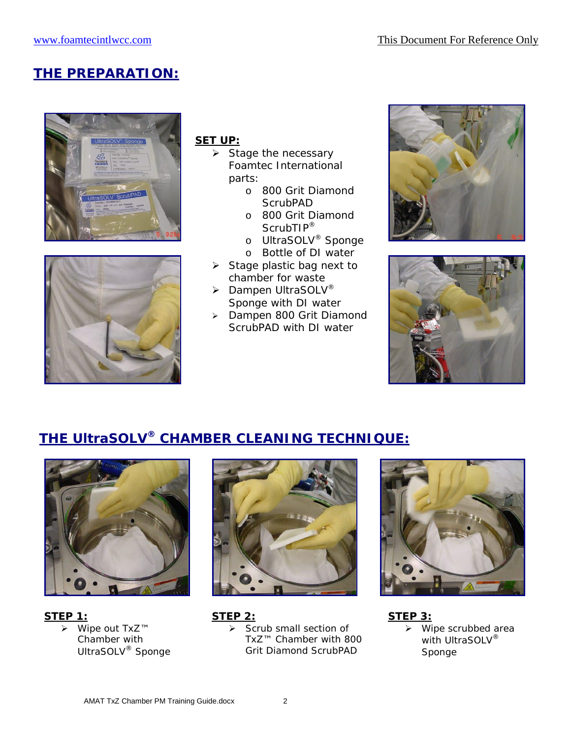# **THE PREPARATION:**





## **SET UP:**

- $\triangleright$  Stage the necessary Foamtec International parts:
	- o 800 Grit Diamond **ScrubPAD**
	- o 800 Grit Diamond ScrubTIP®
	- o UltraSOLV® Sponge
	- o Bottle of DI water
- $\triangleright$  Stage plastic bag next to chamber for waste
- ▶ Dampen UltraSOLV<sup>®</sup> Sponge with DI water
- > Dampen 800 Grit Diamond ScrubPAD with DI water





# **THE UltraSOLV® CHAMBER CLEANING TECHNIQUE:**



**STEP 1:**

> Wipe out TxZ™ Chamber with UltraSOLV<sup>®</sup> Sponge



**STEP 2:**

 $\triangleright$  Scrub small section of TxZ™ Chamber with 800 Grit Diamond ScrubPAD



**STEP 3:**  $\triangleright$  Wipe scrubbed area with UltraSOLV<sup>®</sup> Sponge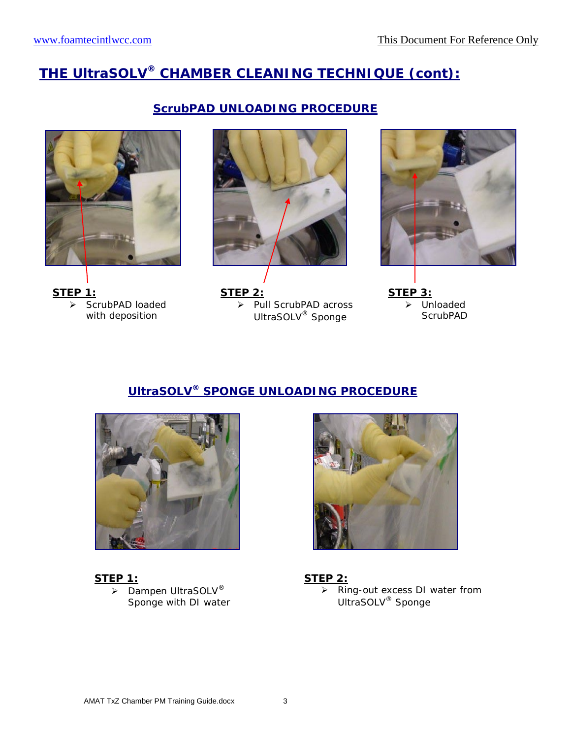# **THE UltraSOLV® CHAMBER CLEANING TECHNIQUE (cont):**



**STEP 1:**  $\triangleright$  ScrubPAD loaded with deposition

#### **ScrubPAD UNLOADING PROCEDURE**



**STEP 2:**  $\overline{\triangleright}$  Pull ScrubPAD across UltraSOLV® Sponge



**STEP 3:** Unloaded **ScrubPAD** 

# **UltraSOLV® SPONGE UNLOADING PROCEDURE**



#### **STEP 1:**

 $\overline{\triangleright}$  Dampen UltraSOLV<sup>®</sup> Sponge with DI water



#### **STEP 2:**

 $\overline{\triangleright}$  Ring-out excess DI water from UltraSOLV<sup>®</sup> Sponge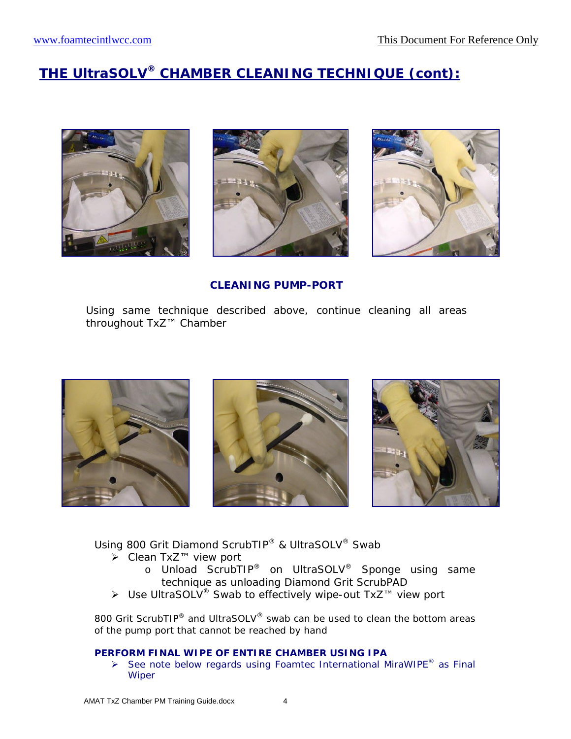# **THE UltraSOLV® CHAMBER CLEANING TECHNIQUE (cont):**







#### **CLEANING PUMP-PORT**

Using same technique described above, continue cleaning all areas throughout TxZ™ Chamber



Using 800 Grit Diamond ScrubTIP® & UltraSOLV® Swab

- Pry Ses S.f. Franch View port
	- o Unload ScrubTIP® on UltraSOLV® Sponge using same technique as unloading Diamond Grit ScrubPAD
- Use UltraSOLV® Swab to effectively wipe-out TxZ™ view port

800 Grit ScrubTIP<sup>®</sup> and UltraSOLV<sup>®</sup> swab can be used to clean the bottom areas of the pump port that cannot be reached by hand

#### **PERFORM FINAL WIPE OF ENTIRE CHAMBER USING IPA**

See note below regards using Foamtec International MiraWIPE<sup>®</sup> as Final **Wiper**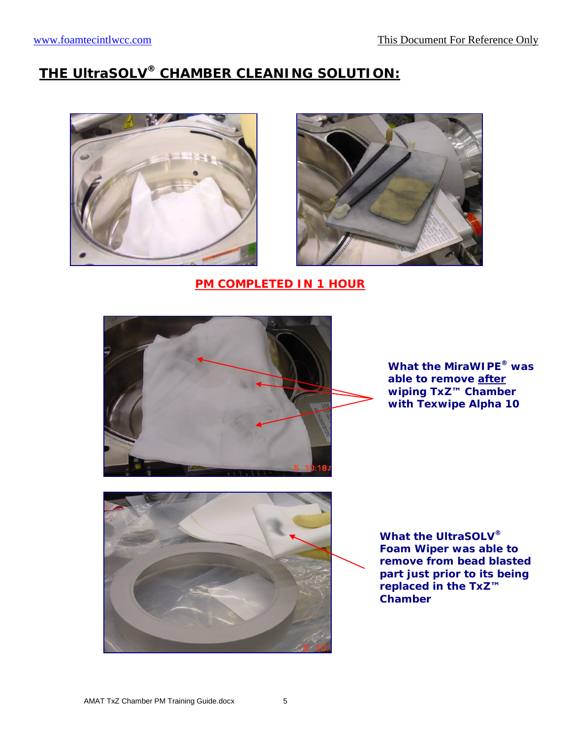# **THE UltraSOLV® CHAMBER CLEANING SOLUTION:**





**PM COMPLETED IN 1 HOUR**



**What the MiraWIPE® was able to remove after wiping TxZ™ Chamber with Texwipe Alpha 10** 



**What the UltraSOLV® Foam Wiper was able to remove from bead blasted part just prior to its being replaced in the TxZ™ Chamber**